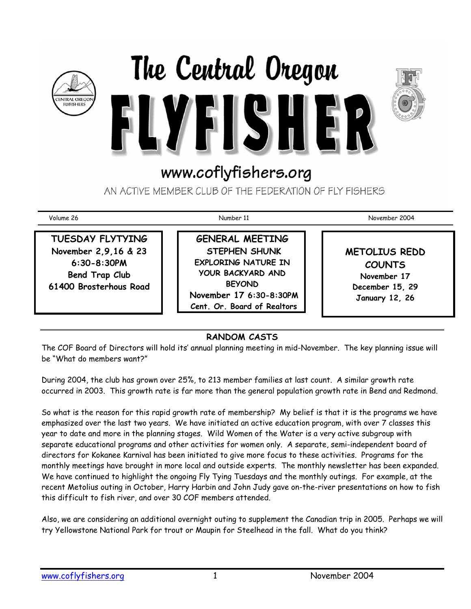





# www.coflyfishers.org

AN ACTIVE MEMBER CLUB OF THE FEDERATION OF FLY FISHERS

**TUESDAY FLYTYING November 2,9,16 & 23 6:30-8:30PM Bend Trap Club 61400 Brosterhous Road** 

**GENERAL MEETING STEPHEN SHUNK EXPLORING NATURE IN YOUR BACKYARD AND BEYOND November 17 6:30-8:30PM Cent. Or. Board of Realtors** 

Volume 26 Number 11 November 2004

**METOLIUS REDD COUNTS November 17 December 15, 29 January 12, 26** 

## **RANDOM CASTS**

The COF Board of Directors will hold its' annual planning meeting in mid-November. The key planning issue will be "What do members want?"

During 2004, the club has grown over 25%, to 213 member families at last count. A similar growth rate occurred in 2003. This growth rate is far more than the general population growth rate in Bend and Redmond.

So what is the reason for this rapid growth rate of membership? My belief is that it is the programs we have emphasized over the last two years. We have initiated an active education program, with over 7 classes this year to date and more in the planning stages. Wild Women of the Water is a very active subgroup with separate educational programs and other activities for women only. A separate, semi-independent board of directors for Kokanee Karnival has been initiated to give more focus to these activities. Programs for the monthly meetings have brought in more local and outside experts. The monthly newsletter has been expanded. We have continued to highlight the ongoing Fly Tying Tuesdays and the monthly outings. For example, at the recent Metolius outing in October, Harry Harbin and John Judy gave on-the-river presentations on how to fish this difficult to fish river, and over 30 COF members attended.

Also, we are considering an additional overnight outing to supplement the Canadian trip in 2005. Perhaps we will try Yellowstone National Park for trout or Maupin for Steelhead in the fall. What do you think?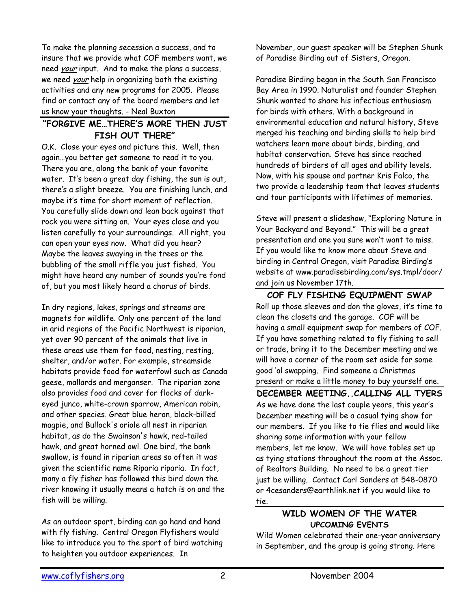To make the planning secession a success, and to insure that we provide what COF members want, we need your input. And to make the plans a success, we need your help in organizing both the existing activities and any new programs for 2005. Please find or contact any of the board members and let us know your thoughts. - Neal Buxton

#### **"FORGIVE ME…THERE'S MORE THEN JUST FISH OUT THERE"**

O.K. Close your eyes and picture this. Well, then again…you better get someone to read it to you. There you are, along the bank of your favorite water. It's been a great day fishing, the sun is out, there's a slight breeze. You are finishing lunch, and maybe it's time for short moment of reflection. You carefully slide down and lean back against that rock you were sitting on. Your eyes close and you listen carefully to your surroundings. All right, you can open your eyes now. What did you hear? Maybe the leaves swaying in the trees or the bubbling of the small riffle you just fished. You might have heard any number of sounds you're fond of, but you most likely heard a chorus of birds.

In dry regions, lakes, springs and streams are magnets for wildlife. Only one percent of the land in arid regions of the Pacific Northwest is riparian, yet over 90 percent of the animals that live in these areas use them for food, nesting, resting, shelter, and/or water. For example, streamside habitats provide food for waterfowl such as Canada geese, mallards and merganser. The riparian zone also provides food and cover for flocks of darkeyed junco, white-crown sparrow, American robin, and other species. Great blue heron, black-billed magpie, and Bullock's oriole all nest in riparian habitat, as do the Swainson's hawk, red-tailed hawk, and great horned owl. One bird, the bank swallow, is found in riparian areas so often it was given the scientific name Riparia riparia. In fact, many a fly fisher has followed this bird down the river knowing it usually means a hatch is on and the fish will be willing.

As an outdoor sport, birding can go hand and hand with fly fishing. Central Oregon Flyfishers would like to introduce you to the sport of bird watching to heighten you outdoor experiences. In

November, our guest speaker will be Stephen Shunk of Paradise Birding out of Sisters, Oregon.

Paradise Birding began in the South San Francisco Bay Area in 1990. Naturalist and founder Stephen Shunk wanted to share his infectious enthusiasm for birds with others. With a background in environmental education and natural history, Steve merged his teaching and birding skills to help bird watchers learn more about birds, birding, and habitat conservation. Steve has since reached hundreds of birders of all ages and ability levels. Now, with his spouse and partner Kris Falco, the two provide a leadership team that leaves students and tour participants with lifetimes of memories.

Steve will present a slideshow, "Exploring Nature in Your Backyard and Beyond." This will be a great presentation and one you sure won't want to miss. If you would like to know more about Steve and birding in Central Oregon, visit Paradise Birding's website at www.paradisebirding.com/sys.tmpl/door/ and join us November 17th.

**COF FLY FISHING EQUIPMENT SWAP**  Roll up those sleeves and don the gloves, it's time to clean the closets and the garage. COF will be having a small equipment swap for members of COF. If you have something related to fly fishing to sell or trade, bring it to the December meeting and we will have a corner of the room set aside for some good 'ol swapping. Find someone a Christmas present or make a little money to buy yourself one.

**DECEMBER MEETING..CALLING ALL TYERS**  As we have done the last couple years, this year's December meeting will be a casual tying show for our members. If you like to tie flies and would like sharing some information with your fellow members, let me know. We will have tables set up as tying stations throughout the room at the Assoc. of Realtors Building. No need to be a great tier just be willing. Contact Carl Sanders at 548-0870 or 4cesanders@earthlink.net if you would like to tie.

#### **WILD WOMEN OF THE WATER UPCOMING EVENTS**

Wild Women celebrated their one-year anniversary in September, and the group is going strong. Here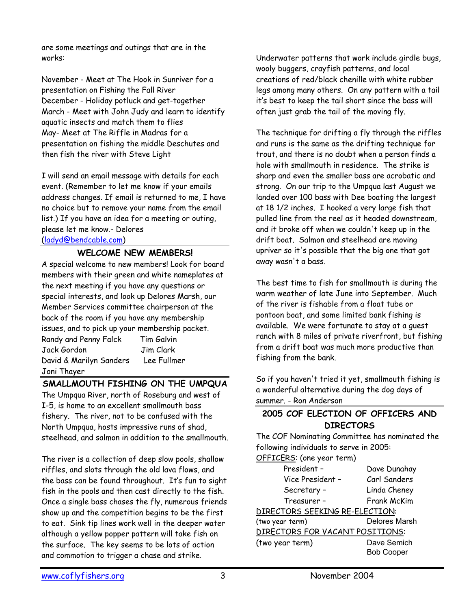are some meetings and outings that are in the works:

November - Meet at The Hook in Sunriver for a presentation on Fishing the Fall River December - Holiday potluck and get-together March - Meet with John Judy and learn to identify aquatic insects and match them to flies May- Meet at The Riffle in Madras for a presentation on fishing the middle Deschutes and then fish the river with Steve Light

I will send an email message with details for each event. (Remember to let me know if your emails address changes. If email is returned to me, I have no choice but to remove your name from the email list.) If you have an idea for a meeting or outing, please let me know.- Delores (ladyd@bendcable.com)

# **WELCOME NEW MEMBERS!**

A special welcome to new members! Look for board members with their green and white nameplates at the next meeting if you have any questions or special interests, and look up Delores Marsh, our Member Services committee chairperson at the back of the room if you have any membership issues, and to pick up your membership packet.

| Randy and Penny Falck   | Tim Galvin  |
|-------------------------|-------------|
| Jack Gordon             | Jim Clark   |
| David & Marilyn Sanders | Lee Fullmer |
| Joni Thayer             |             |

### **SMALLMOUTH FISHING ON THE UMPQUA**

The Umpqua River, north of Roseburg and west of I-5, is home to an excellent smallmouth bass fishery. The river, not to be confused with the North Umpqua, hosts impressive runs of shad, steelhead, and salmon in addition to the smallmouth.

The river is a collection of deep slow pools, shallow riffles, and slots through the old lava flows, and the bass can be found throughout. It's fun to sight fish in the pools and then cast directly to the fish. Once a single bass chases the fly, numerous friends show up and the competition begins to be the first to eat. Sink tip lines work well in the deeper water although a yellow popper pattern will take fish on the surface. The key seems to be lots of action and commotion to trigger a chase and strike.

Underwater patterns that work include girdle bugs, wooly buggers, crayfish patterns, and local creations of red/black chenille with white rubber legs among many others. On any pattern with a tail it's best to keep the tail short since the bass will often just grab the tail of the moving fly.

The technique for drifting a fly through the riffles and runs is the same as the drifting technique for trout, and there is no doubt when a person finds a hole with smallmouth in residence. The strike is sharp and even the smaller bass are acrobatic and strong. On our trip to the Umpqua last August we landed over 100 bass with Dee boating the largest at 18 1/2 inches. I hooked a very large fish that pulled line from the reel as it headed downstream, and it broke off when we couldn't keep up in the drift boat. Salmon and steelhead are moving upriver so it's possible that the big one that got away wasn't a bass.

The best time to fish for smallmouth is during the warm weather of late June into September. Much of the river is fishable from a float tube or pontoon boat, and some limited bank fishing is available. We were fortunate to stay at a guest ranch with 8 miles of private riverfront, but fishing from a drift boat was much more productive than fishing from the bank.

So if you haven't tried it yet, smallmouth fishing is a wonderful alternative during the dog days of summer. - Ron Anderson

### **2005 COF ELECTION OF OFFICERS AND DIRECTORS**

The COF Nominating Committee has nominated the following individuals to serve in 2005:

| OFFICERS: (one year term)       |                      |
|---------------------------------|----------------------|
| President -                     | Dave Dunahay         |
| Vice President -                | Carl Sanders         |
| Secretary -                     | Linda Cheney         |
| Treasurer -                     | Frank McKim          |
| DIRECTORS SEEKING RE-ELECTION:  |                      |
| (two year term)                 | <b>Delores Marsh</b> |
| DIRECTORS FOR VACANT POSITIONS: |                      |
| (two year term)                 | Dave Semich          |
|                                 | <b>Bob Cooper</b>    |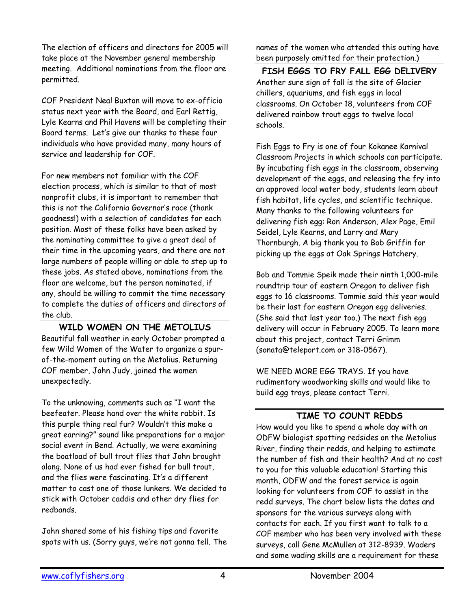The election of officers and directors for 2005 will take place at the November general membership meeting. Additional nominations from the floor are permitted.

COF President Neal Buxton will move to ex-officio status next year with the Board, and Earl Rettig, Lyle Kearns and Phil Havens will be completing their Board terms. Let's give our thanks to these four individuals who have provided many, many hours of service and leadership for COF.

For new members not familiar with the COF election process, which is similar to that of most nonprofit clubs, it is important to remember that this is not the California Governor's race (thank goodness!) with a selection of candidates for each position. Most of these folks have been asked by the nominating committee to give a great deal of their time in the upcoming years, and there are not large numbers of people willing or able to step up to these jobs. As stated above, nominations from the floor are welcome, but the person nominated, if any, should be willing to commit the time necessary to complete the duties of officers and directors of the club.

#### **WILD WOMEN ON THE METOLIUS**  Beautiful fall weather in early October prompted a few Wild Women of the Water to organize a spurof-the-moment outing on the Metolius. Returning COF member, John Judy, joined the women unexpectedly.

To the unknowing, comments such as "I want the beefeater. Please hand over the white rabbit. Is this purple thing real fur? Wouldn't this make a great earring?" sound like preparations for a major social event in Bend. Actually, we were examining the boatload of bull trout flies that John brought along. None of us had ever fished for bull trout, and the flies were fascinating. It's a different matter to cast one of those lunkers. We decided to stick with October caddis and other dry flies for redbands.

John shared some of his fishing tips and favorite spots with us. (Sorry guys, we're not gonna tell. The names of the women who attended this outing have been purposely omitted for their protection.)

#### **FISH EGGS TO FRY FALL EGG DELIVERY**  Another sure sign of fall is the site of Glacier chillers, aquariums, and fish eggs in local classrooms. On October 18, volunteers from COF delivered rainbow trout eggs to twelve local schools.

Fish Eggs to Fry is one of four Kokanee Karnival Classroom Projects in which schools can participate. By incubating fish eggs in the classroom, observing development of the eggs, and releasing the fry into an approved local water body, students learn about fish habitat, life cycles, and scientific technique. Many thanks to the following volunteers for delivering fish egg: Ron Anderson, Alex Page, Emil Seidel, Lyle Kearns, and Larry and Mary Thornburgh. A big thank you to Bob Griffin for picking up the eggs at Oak Springs Hatchery.

Bob and Tommie Speik made their ninth 1,000-mile roundtrip tour of eastern Oregon to deliver fish eggs to 16 classrooms. Tommie said this year would be their last for eastern Oregon egg deliveries. (She said that last year too.) The next fish egg delivery will occur in February 2005. To learn more about this project, contact Terri Grimm (sonata@teleport.com or 318-0567).

WE NEED MORE EGG TRAYS. If you have rudimentary woodworking skills and would like to build egg trays, please contact Terri.

### **TIME TO COUNT REDDS**

How would you like to spend a whole day with an ODFW biologist spotting redsides on the Metolius River, finding their redds, and helping to estimate the number of fish and their health? And at no cost to you for this valuable education! Starting this month, ODFW and the forest service is again looking for volunteers from COF to assist in the redd surveys. The chart below lists the dates and sponsors for the various surveys along with contacts for each. If you first want to talk to a COF member who has been very involved with these surveys, call Gene McMullen at 312-8939. Waders and some wading skills are a requirement for these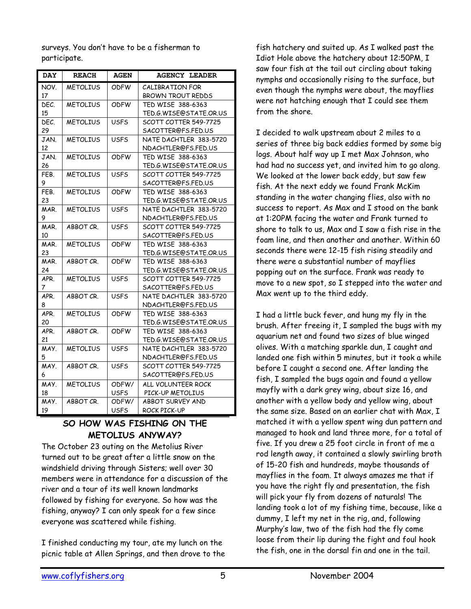surveys. You don't have to be a fisherman to participate.

| <b>DAY</b> | <b>REACH</b>    | <b>AGEN</b> | <b>AGENCY LEADER</b>     |  |  |
|------------|-----------------|-------------|--------------------------|--|--|
| NOV.       | <b>METOLIUS</b> | ODFW        | CALIBRATION FOR          |  |  |
| 17         |                 |             | <b>BROWN TROUT REDDS</b> |  |  |
| DEC.       | <b>METOLIUS</b> | <b>ODFW</b> | TED WISE 388-6363        |  |  |
| 15         |                 |             | TED.G.WISE@STATE.OR.US   |  |  |
| DEC.       | <b>METOLIUS</b> | <b>USFS</b> | SCOTT COTTER 549-7725    |  |  |
| 29         |                 |             | SACOTTER@FS.FED.US       |  |  |
| JAN.       | <b>METOLIUS</b> | USFS        | NATE DACHTLER 383-5720   |  |  |
| 12         |                 |             | NDACHTLER@FS.FED.US      |  |  |
| JAN.       | <b>METOLIUS</b> | <b>ODFW</b> | TED WISE 388-6363        |  |  |
| 26         |                 |             | TED.G.WISE@STATE.OR.US   |  |  |
| FEB.       | <b>METOLIUS</b> | <b>USFS</b> | SCOTT COTTER 549-7725    |  |  |
| 9          |                 |             | SACOTTER@FS.FED.US       |  |  |
| FEB.       | <b>METOLIUS</b> | <b>ODFW</b> | TED WISE 388-6363        |  |  |
| 23         |                 |             | TED.G.WISE@STATE.OR.US   |  |  |
| MAR.       | <b>METOLIUS</b> | <b>USFS</b> | NATE DACHTLER 383-5720   |  |  |
| 9          |                 |             | NDACHTLER@FS.FED.US      |  |  |
| MAR.       | ABBOT CR.       | <b>USFS</b> | SCOTT COTTER 549-7725    |  |  |
| 10         |                 |             | SACOTTER@FS.FED.US       |  |  |
| MAR.       | <b>METOLIUS</b> | <b>ODFW</b> | TED WISE 388-6363        |  |  |
| 23         |                 |             | TED.G.WISE@STATE.OR.US   |  |  |
| MAR.       | ABBOT CR.       | <b>ODFW</b> | TED WISE 388-6363        |  |  |
| 24         |                 |             | TED.G.WISE@STATE.OR.US   |  |  |
| APR.       | <b>METOLIUS</b> | <b>USFS</b> | SCOTT COTTER 549-7725    |  |  |
| 7          |                 |             | SACOTTER@FS.FED.US       |  |  |
| APR.       | ABBOT CR.       | <b>USFS</b> | NATE DACHTLER 383-5720   |  |  |
| 8          |                 |             | NDACHTLER@FS.FED.US      |  |  |
| APR.       | <b>METOLIUS</b> | <b>ODFW</b> | TED WISE 388-6363        |  |  |
| 20         |                 |             | TED.G.WISE@STATE.OR.US   |  |  |
| APR.       | ABBOT CR.       | <b>ODFW</b> | TED WISE 388-6363        |  |  |
| 21         |                 |             | TED.G.WISE@STATE.OR.US   |  |  |
| MAY.       | <b>METOLIUS</b> | USFS        | NATE DACHTLER 383-5720   |  |  |
| 5          |                 |             | NDACHTLER@FS.FED.US      |  |  |
| MAY.       | ABBOT CR.       | <b>USFS</b> | SCOTT COTTER 549-7725    |  |  |
| 6          |                 |             | SACOTTER@FS.FED.US       |  |  |
| MAY.       | <b>METOLIUS</b> | ODFW/       | ALL VOLUNTEER ROCK       |  |  |
| 18         |                 | <b>USFS</b> | PICK-UP METOLIUS         |  |  |
| MAY.       | ABBOT CR.       | ODFW/       | ABBOT SURVEY AND         |  |  |
| 19         |                 | USFS        | ROCK PICK-UP             |  |  |

### **SO HOW WAS FISHING ON THE METOLIUS ANYWAY?**

The October 23 outing on the Metolius River turned out to be great after a little snow on the windshield driving through Sisters; well over 30 members were in attendance for a discussion of the river and a tour of its well known landmarks followed by fishing for everyone. So how was the fishing, anyway? I can only speak for a few since everyone was scattered while fishing.

I finished conducting my tour, ate my lunch on the picnic table at Allen Springs, and then drove to the fish hatchery and suited up. As I walked past the Idiot Hole above the hatchery about 12:50PM, I saw four fish at the tail out circling about taking nymphs and occasionally rising to the surface, but even though the nymphs were about, the mayflies were not hatching enough that I could see them from the shore.

I decided to walk upstream about 2 miles to a series of three big back eddies formed by some big logs. About half way up I met Max Johnson, who had had no success yet, and invited him to go along. We looked at the lower back eddy, but saw few fish. At the next eddy we found Frank McKim standing in the water changing flies, also with no success to report. As Max and I stood on the bank at 1:20PM facing the water and Frank turned to shore to talk to us, Max and I saw a fish rise in the foam line, and then another and another. Within 60 seconds there were 12-15 fish rising steadily and there were a substantial number of mayflies popping out on the surface. Frank was ready to move to a new spot, so I stepped into the water and Max went up to the third eddy.

I had a little buck fever, and hung my fly in the brush. After freeing it, I sampled the bugs with my aquarium net and found two sizes of blue winged olives. With a matching sparkle dun, I caught and landed one fish within 5 minutes, but it took a while before I caught a second one. After landing the fish, I sampled the bugs again and found a yellow mayfly with a dark grey wing, about size 16, and another with a yellow body and yellow wing, about the same size. Based on an earlier chat with Max, I matched it with a yellow spent wing dun pattern and managed to hook and land three more, for a total of five. If you drew a 25 foot circle in front of me a rod length away, it contained a slowly swirling broth of 15-20 fish and hundreds, maybe thousands of mayflies in the foam. It always amazes me that if you have the right fly and presentation, the fish will pick your fly from dozens of naturals! The landing took a lot of my fishing time, because, like a dummy, I left my net in the rig, and, following Murphy's law, two of the fish had the fly come loose from their lip during the fight and foul hook the fish, one in the dorsal fin and one in the tail.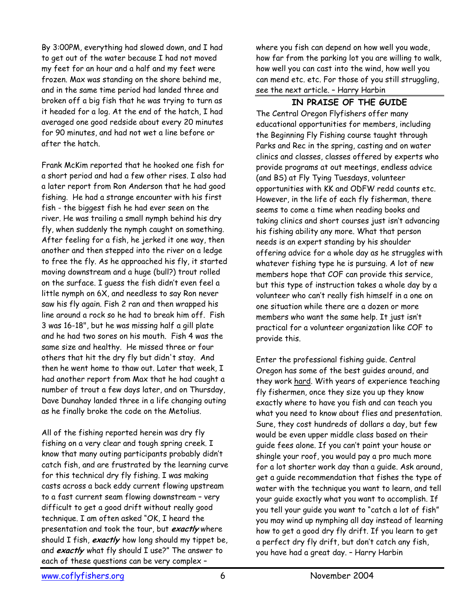By 3:00PM, everything had slowed down, and I had to get out of the water because I had not moved my feet for an hour and a half and my feet were frozen. Max was standing on the shore behind me, and in the same time period had landed three and broken off a big fish that he was trying to turn as it headed for a log. At the end of the hatch, I had averaged one good redside about every 20 minutes for 90 minutes, and had not wet a line before or after the hatch.

Frank McKim reported that he hooked one fish for a short period and had a few other rises. I also had a later report from Ron Anderson that he had good fishing. He had a strange encounter with his first fish - the biggest fish he had ever seen on the river. He was trailing a small nymph behind his dry fly, when suddenly the nymph caught on something. After feeling for a fish, he jerked it one way, then another and then stepped into the river on a ledge to free the fly. As he approached his fly, it started moving downstream and a huge (bull?) trout rolled on the surface. I guess the fish didn't even feel a little nymph on 6X, and needless to say Ron never saw his fly again. Fish 2 ran and then wrapped his line around a rock so he had to break him off. Fish 3 was 16-18", but he was missing half a gill plate and he had two sores on his mouth. Fish 4 was the same size and healthy. He missed three or four others that hit the dry fly but didn't stay. And then he went home to thaw out. Later that week, I had another report from Max that he had caught a number of trout a few days later, and on Thursday, Dave Dunahay landed three in a life changing outing as he finally broke the code on the Metolius.

All of the fishing reported herein was dry fly fishing on a very clear and tough spring creek. I know that many outing participants probably didn't catch fish, and are frustrated by the learning curve for this technical dry fly fishing. I was making casts across a back eddy current flowing upstream to a fast current seam flowing downstream – very difficult to get a good drift without really good technique. I am often asked "OK, I heard the presentation and took the tour, but **exactly** where should I fish, **exactly** how long should my tippet be, and **exactly** what fly should I use?" The answer to each of these questions can be very complex –

where you fish can depend on how well you wade, how far from the parking lot you are willing to walk, how well you can cast into the wind, how well you can mend etc. etc. For those of you still struggling, see the next article. – Harry Harbin

#### **IN PRAISE OF THE GUIDE**

The Central Oregon Flyfishers offer many educational opportunities for members, including the Beginning Fly Fishing course taught through Parks and Rec in the spring, casting and on water clinics and classes, classes offered by experts who provide programs at out meetings, endless advice (and BS) at Fly Tying Tuesdays, volunteer opportunities with KK and ODFW redd counts etc. However, in the life of each fly fisherman, there seems to come a time when reading books and taking clinics and short courses just isn't advancing his fishing ability any more. What that person needs is an expert standing by his shoulder offering advice for a whole day as he struggles with whatever fishing type he is pursuing. A lot of new members hope that COF can provide this service, but this type of instruction takes a whole day by a volunteer who can't really fish himself in a one on one situation while there are a dozen or more members who want the same help. It just isn't practical for a volunteer organization like COF to provide this.

Enter the professional fishing guide. Central Oregon has some of the best guides around, and they work hard. With years of experience teaching fly fishermen, once they size you up they know exactly where to have you fish and can teach you what you need to know about flies and presentation. Sure, they cost hundreds of dollars a day, but few would be even upper middle class based on their guide fees alone. If you can't paint your house or shingle your roof, you would pay a pro much more for a lot shorter work day than a guide. Ask around, get a guide recommendation that fishes the type of water with the technique you want to learn, and tell your guide exactly what you want to accomplish. If you tell your guide you want to "catch a lot of fish" you may wind up nymphing all day instead of learning how to get a good dry fly drift. If you learn to get a perfect dry fly drift, but don't catch any fish, you have had a great day. – Harry Harbin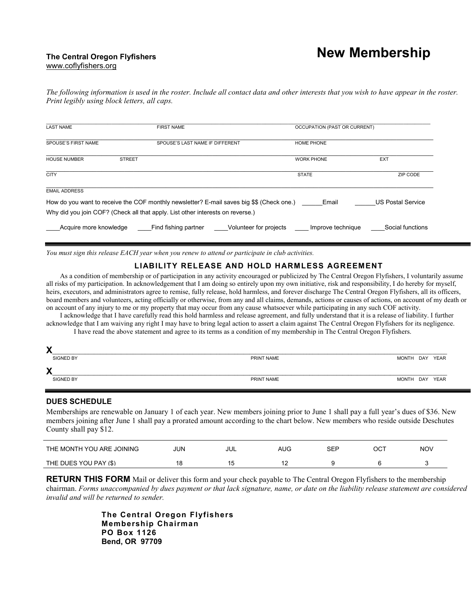# **New Membership**

#### **The Central Oregon Flyfishers**  www.coflyfishers.org

*The following information is used in the roster. Include all contact data and other interests that you wish to have appear in the roster. Print legibly using block letters, all caps.* 

| <b>LAST NAME</b>       | <b>FIRST NAME</b>                                                                                                                                                           |                   | OCCUPATION (PAST OR CURRENT) |  |  |  |
|------------------------|-----------------------------------------------------------------------------------------------------------------------------------------------------------------------------|-------------------|------------------------------|--|--|--|
| SPOUSE'S FIRST NAME    | SPOUSE'S LAST NAME IF DIFFERENT                                                                                                                                             | <b>HOME PHONE</b> |                              |  |  |  |
| <b>HOUSE NUMBER</b>    | <b>STREET</b>                                                                                                                                                               | <b>WORK PHONE</b> | <b>EXT</b>                   |  |  |  |
| <b>CITY</b>            |                                                                                                                                                                             | <b>STATE</b>      | ZIP CODE                     |  |  |  |
| <b>EMAIL ADDRESS</b>   |                                                                                                                                                                             |                   |                              |  |  |  |
|                        | How do you want to receive the COF monthly newsletter? E-mail saves big \$\$ (Check one.)<br>Why did you join COF? (Check all that apply. List other interests on reverse.) | Email             | <b>US Postal Service</b>     |  |  |  |
| Acquire more knowledge | Find fishing partner<br>Volunteer for projects                                                                                                                              | Improve technique | Social functions             |  |  |  |

*You must sign this release EACH year when you renew to attend or participate in club activities.*

#### **LIABILITY RELEASE AND HOLD HARMLESS AGREEMENT**

As a condition of membership or of participation in any activity encouraged or publicized by The Central Oregon Flyfishers, I voluntarily assume all risks of my participation. In acknowledgement that I am doing so entirely upon my own initiative, risk and responsibility, I do hereby for myself, heirs, executors, and administrators agree to remise, fully release, hold harmless, and forever discharge The Central Oregon Flyfishers, all its officers, board members and volunteers, acting officially or otherwise, from any and all claims, demands, actions or causes of actions, on account of my death or on account of any injury to me or my property that may occur from any cause whatsoever while participating in any such COF activity.

 I acknowledge that I have carefully read this hold harmless and release agreement, and fully understand that it is a release of liability. I further acknowledge that I am waiving any right I may have to bring legal action to assert a claim against The Central Oregon Flyfishers for its negligence. I have read the above statement and agree to its terms as a condition of my membership in The Central Oregon Flyfishers.

| X |                  |            |                |     |      |
|---|------------------|------------|----------------|-----|------|
|   | <b>SIGNED BY</b> | PRINT NAME | <b>MONTH</b>   | DAY | YEAR |
| X |                  |            |                |     |      |
|   | SIGNED BY        | PRINT NAME | MONTH DAY YEAR |     |      |

#### **DUES SCHEDULE**

Memberships are renewable on January 1 of each year. New members joining prior to June 1 shall pay a full year's dues of \$36. New members joining after June 1 shall pay a prorated amount according to the chart below. New members who reside outside Deschutes County shall pay \$12.

| THE MONTH YOU ARE JOINING | JUN | JUL | AUG | SEP | ост | <b>NOV</b> |
|---------------------------|-----|-----|-----|-----|-----|------------|
| THE DUES YOU PAY (\$)     | 18  |     |     |     |     |            |

**RETURN THIS FORM** Mail or deliver this form and your check payable to The Central Oregon Flyfishers to the membership chairman. *Forms unaccompanied by dues payment or that lack signature, name, or date on the liability release statement are considered invalid and will be returned to sender.*

> **The Central Oregon Flyfishers Membership Chairman PO Box 1126 Bend, OR 97709**